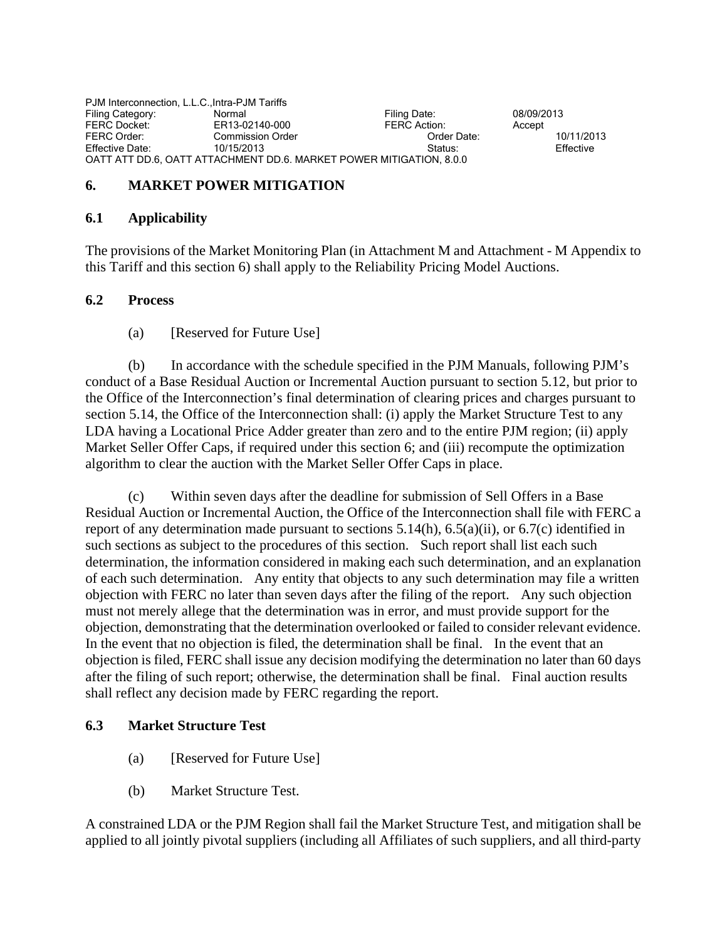PJM Interconnection, L.L.C.,Intra-PJM Tariffs Filing Category: Normal Normal Filing Date: 08/09/2013<br>
FERC Docket: ER13-02140-000 FERC Action: Accept FERC Docket: ER13-02140-000 FERC Action: Accept FERC Order: Commission Order Order Date: 10/11/2013 Effective Date: 10/15/2013 Status: Effective OATT ATT DD.6, OATT ATTACHMENT DD.6. MARKET POWER MITIGATION, 8.0.0

## **6. MARKET POWER MITIGATION**

#### **6.1 Applicability**

The provisions of the Market Monitoring Plan (in Attachment M and Attachment - M Appendix to this Tariff and this section 6) shall apply to the Reliability Pricing Model Auctions.

## **6.2 Process**

(a) [Reserved for Future Use]

 (b) In accordance with the schedule specified in the PJM Manuals, following PJM's conduct of a Base Residual Auction or Incremental Auction pursuant to section 5.12, but prior to the Office of the Interconnection's final determination of clearing prices and charges pursuant to section 5.14, the Office of the Interconnection shall: (i) apply the Market Structure Test to any LDA having a Locational Price Adder greater than zero and to the entire PJM region; (ii) apply Market Seller Offer Caps, if required under this section 6; and (iii) recompute the optimization algorithm to clear the auction with the Market Seller Offer Caps in place.

 (c) Within seven days after the deadline for submission of Sell Offers in a Base Residual Auction or Incremental Auction, the Office of the Interconnection shall file with FERC a report of any determination made pursuant to sections 5.14(h), 6.5(a)(ii), or 6.7(c) identified in such sections as subject to the procedures of this section. Such report shall list each such determination, the information considered in making each such determination, and an explanation of each such determination. Any entity that objects to any such determination may file a written objection with FERC no later than seven days after the filing of the report. Any such objection must not merely allege that the determination was in error, and must provide support for the objection, demonstrating that the determination overlooked or failed to consider relevant evidence. In the event that no objection is filed, the determination shall be final. In the event that an objection is filed, FERC shall issue any decision modifying the determination no later than 60 days after the filing of such report; otherwise, the determination shall be final. Final auction results shall reflect any decision made by FERC regarding the report.

## **6.3 Market Structure Test**

- (a) [Reserved for Future Use]
- (b) Market Structure Test.

A constrained LDA or the PJM Region shall fail the Market Structure Test, and mitigation shall be applied to all jointly pivotal suppliers (including all Affiliates of such suppliers, and all third-party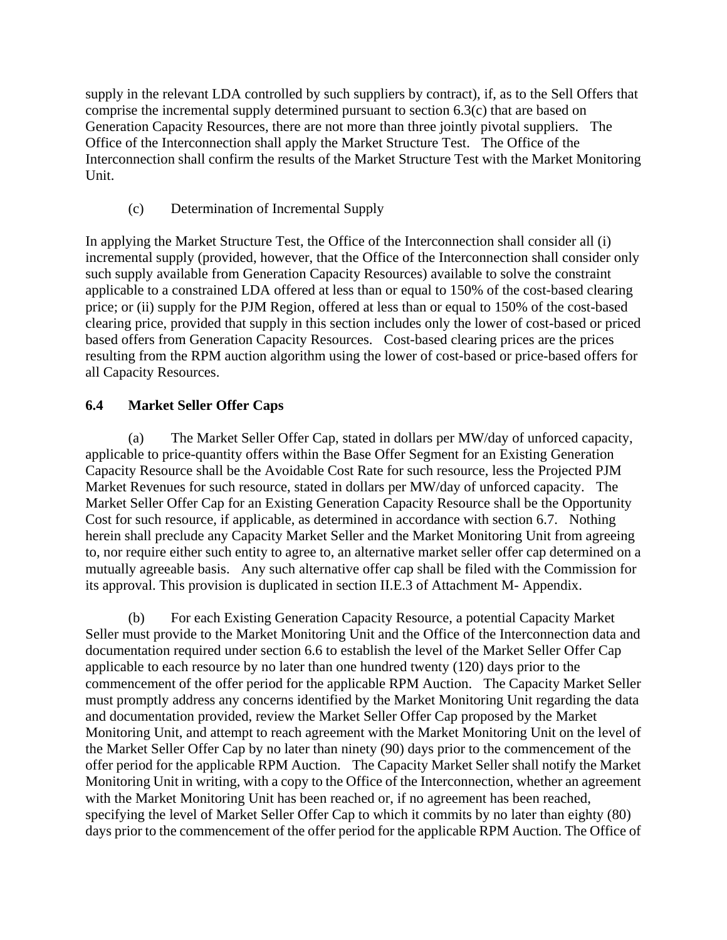supply in the relevant LDA controlled by such suppliers by contract), if, as to the Sell Offers that comprise the incremental supply determined pursuant to section 6.3(c) that are based on Generation Capacity Resources, there are not more than three jointly pivotal suppliers. The Office of the Interconnection shall apply the Market Structure Test. The Office of the Interconnection shall confirm the results of the Market Structure Test with the Market Monitoring Unit.

(c) Determination of Incremental Supply

In applying the Market Structure Test, the Office of the Interconnection shall consider all (i) incremental supply (provided, however, that the Office of the Interconnection shall consider only such supply available from Generation Capacity Resources) available to solve the constraint applicable to a constrained LDA offered at less than or equal to 150% of the cost-based clearing price; or (ii) supply for the PJM Region, offered at less than or equal to 150% of the cost-based clearing price, provided that supply in this section includes only the lower of cost-based or priced based offers from Generation Capacity Resources. Cost-based clearing prices are the prices resulting from the RPM auction algorithm using the lower of cost-based or price-based offers for all Capacity Resources.

# **6.4 Market Seller Offer Caps**

 (a) The Market Seller Offer Cap, stated in dollars per MW/day of unforced capacity, applicable to price-quantity offers within the Base Offer Segment for an Existing Generation Capacity Resource shall be the Avoidable Cost Rate for such resource, less the Projected PJM Market Revenues for such resource, stated in dollars per MW/day of unforced capacity. The Market Seller Offer Cap for an Existing Generation Capacity Resource shall be the Opportunity Cost for such resource, if applicable, as determined in accordance with section 6.7. Nothing herein shall preclude any Capacity Market Seller and the Market Monitoring Unit from agreeing to, nor require either such entity to agree to, an alternative market seller offer cap determined on a mutually agreeable basis. Any such alternative offer cap shall be filed with the Commission for its approval. This provision is duplicated in section II.E.3 of Attachment M- Appendix.

 (b) For each Existing Generation Capacity Resource, a potential Capacity Market Seller must provide to the Market Monitoring Unit and the Office of the Interconnection data and documentation required under section 6.6 to establish the level of the Market Seller Offer Cap applicable to each resource by no later than one hundred twenty (120) days prior to the commencement of the offer period for the applicable RPM Auction. The Capacity Market Seller must promptly address any concerns identified by the Market Monitoring Unit regarding the data and documentation provided, review the Market Seller Offer Cap proposed by the Market Monitoring Unit, and attempt to reach agreement with the Market Monitoring Unit on the level of the Market Seller Offer Cap by no later than ninety (90) days prior to the commencement of the offer period for the applicable RPM Auction. The Capacity Market Seller shall notify the Market Monitoring Unit in writing, with a copy to the Office of the Interconnection, whether an agreement with the Market Monitoring Unit has been reached or, if no agreement has been reached, specifying the level of Market Seller Offer Cap to which it commits by no later than eighty (80) days prior to the commencement of the offer period for the applicable RPM Auction. The Office of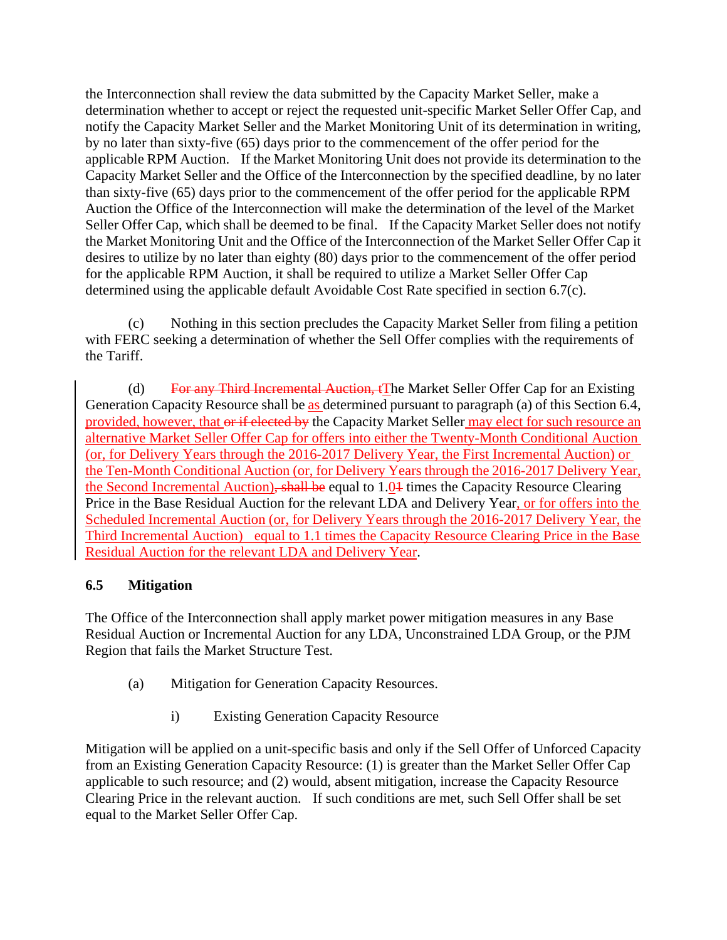the Interconnection shall review the data submitted by the Capacity Market Seller, make a determination whether to accept or reject the requested unit-specific Market Seller Offer Cap, and notify the Capacity Market Seller and the Market Monitoring Unit of its determination in writing, by no later than sixty-five (65) days prior to the commencement of the offer period for the applicable RPM Auction. If the Market Monitoring Unit does not provide its determination to the Capacity Market Seller and the Office of the Interconnection by the specified deadline, by no later than sixty-five (65) days prior to the commencement of the offer period for the applicable RPM Auction the Office of the Interconnection will make the determination of the level of the Market Seller Offer Cap, which shall be deemed to be final. If the Capacity Market Seller does not notify the Market Monitoring Unit and the Office of the Interconnection of the Market Seller Offer Cap it desires to utilize by no later than eighty (80) days prior to the commencement of the offer period for the applicable RPM Auction, it shall be required to utilize a Market Seller Offer Cap determined using the applicable default Avoidable Cost Rate specified in section 6.7(c).

 (c) Nothing in this section precludes the Capacity Market Seller from filing a petition with FERC seeking a determination of whether the Sell Offer complies with the requirements of the Tariff.

(d) For any Third Incremental Auction,  $f$ The Market Seller Offer Cap for an Existing Generation Capacity Resource shall be as determined pursuant to paragraph (a) of this Section 6.4, provided, however, that or if elected by the Capacity Market Seller may elect for such resource an alternative Market Seller Offer Cap for offers into either the Twenty-Month Conditional Auction (or, for Delivery Years through the 2016-2017 Delivery Year, the First Incremental Auction) or the Ten-Month Conditional Auction (or, for Delivery Years through the 2016-2017 Delivery Year, the Second Incremental Auction), shall be equal to 1.04 times the Capacity Resource Clearing Price in the Base Residual Auction for the relevant LDA and Delivery Year, or for offers into the Scheduled Incremental Auction (or, for Delivery Years through the 2016-2017 Delivery Year, the Third Incremental Auction) equal to 1.1 times the Capacity Resource Clearing Price in the Base Residual Auction for the relevant LDA and Delivery Year.

# **6.5 Mitigation**

The Office of the Interconnection shall apply market power mitigation measures in any Base Residual Auction or Incremental Auction for any LDA, Unconstrained LDA Group, or the PJM Region that fails the Market Structure Test.

- (a) Mitigation for Generation Capacity Resources.
	- i) Existing Generation Capacity Resource

Mitigation will be applied on a unit-specific basis and only if the Sell Offer of Unforced Capacity from an Existing Generation Capacity Resource: (1) is greater than the Market Seller Offer Cap applicable to such resource; and (2) would, absent mitigation, increase the Capacity Resource Clearing Price in the relevant auction. If such conditions are met, such Sell Offer shall be set equal to the Market Seller Offer Cap.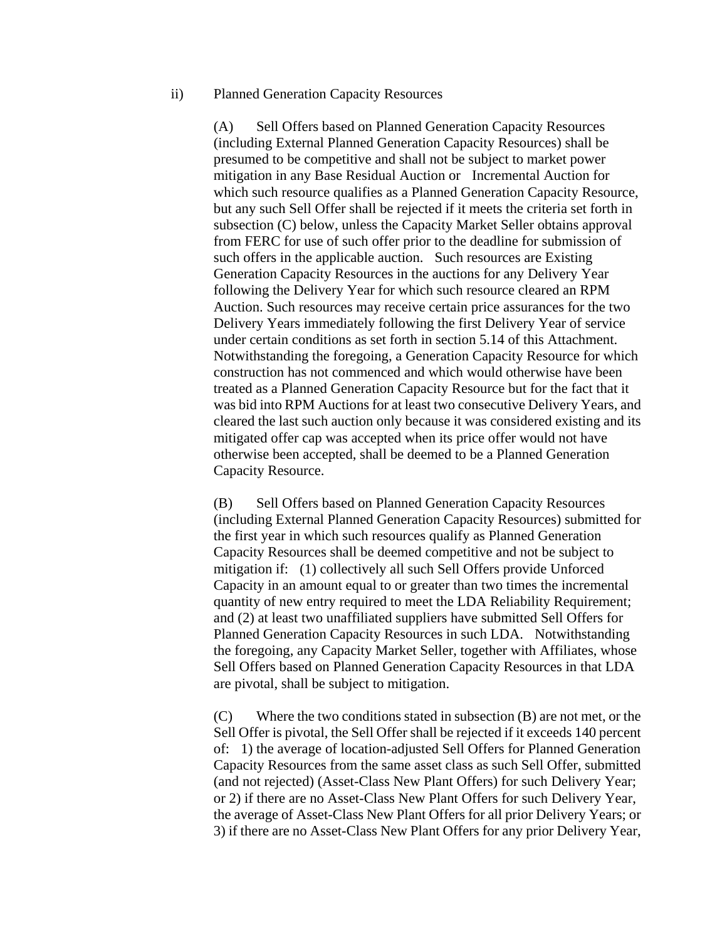#### ii) Planned Generation Capacity Resources

(A) Sell Offers based on Planned Generation Capacity Resources (including External Planned Generation Capacity Resources) shall be presumed to be competitive and shall not be subject to market power mitigation in any Base Residual Auction or Incremental Auction for which such resource qualifies as a Planned Generation Capacity Resource, but any such Sell Offer shall be rejected if it meets the criteria set forth in subsection (C) below, unless the Capacity Market Seller obtains approval from FERC for use of such offer prior to the deadline for submission of such offers in the applicable auction. Such resources are Existing Generation Capacity Resources in the auctions for any Delivery Year following the Delivery Year for which such resource cleared an RPM Auction. Such resources may receive certain price assurances for the two Delivery Years immediately following the first Delivery Year of service under certain conditions as set forth in section 5.14 of this Attachment. Notwithstanding the foregoing, a Generation Capacity Resource for which construction has not commenced and which would otherwise have been treated as a Planned Generation Capacity Resource but for the fact that it was bid into RPM Auctions for at least two consecutive Delivery Years, and cleared the last such auction only because it was considered existing and its mitigated offer cap was accepted when its price offer would not have otherwise been accepted, shall be deemed to be a Planned Generation Capacity Resource.

(B) Sell Offers based on Planned Generation Capacity Resources (including External Planned Generation Capacity Resources) submitted for the first year in which such resources qualify as Planned Generation Capacity Resources shall be deemed competitive and not be subject to mitigation if: (1) collectively all such Sell Offers provide Unforced Capacity in an amount equal to or greater than two times the incremental quantity of new entry required to meet the LDA Reliability Requirement; and (2) at least two unaffiliated suppliers have submitted Sell Offers for Planned Generation Capacity Resources in such LDA. Notwithstanding the foregoing, any Capacity Market Seller, together with Affiliates, whose Sell Offers based on Planned Generation Capacity Resources in that LDA are pivotal, shall be subject to mitigation.

(C) Where the two conditions stated in subsection (B) are not met, or the Sell Offer is pivotal, the Sell Offer shall be rejected if it exceeds 140 percent of: 1) the average of location-adjusted Sell Offers for Planned Generation Capacity Resources from the same asset class as such Sell Offer, submitted (and not rejected) (Asset-Class New Plant Offers) for such Delivery Year; or 2) if there are no Asset-Class New Plant Offers for such Delivery Year, the average of Asset-Class New Plant Offers for all prior Delivery Years; or 3) if there are no Asset-Class New Plant Offers for any prior Delivery Year,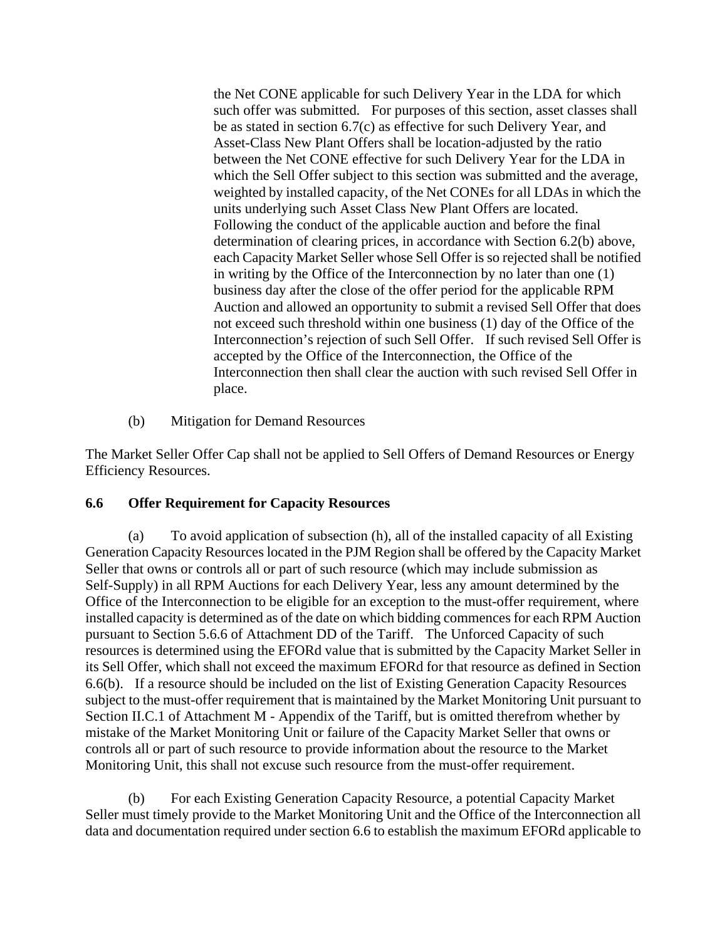the Net CONE applicable for such Delivery Year in the LDA for which such offer was submitted. For purposes of this section, asset classes shall be as stated in section 6.7(c) as effective for such Delivery Year, and Asset-Class New Plant Offers shall be location-adjusted by the ratio between the Net CONE effective for such Delivery Year for the LDA in which the Sell Offer subject to this section was submitted and the average, weighted by installed capacity, of the Net CONEs for all LDAs in which the units underlying such Asset Class New Plant Offers are located. Following the conduct of the applicable auction and before the final determination of clearing prices, in accordance with Section 6.2(b) above, each Capacity Market Seller whose Sell Offer is so rejected shall be notified in writing by the Office of the Interconnection by no later than one (1) business day after the close of the offer period for the applicable RPM Auction and allowed an opportunity to submit a revised Sell Offer that does not exceed such threshold within one business (1) day of the Office of the Interconnection's rejection of such Sell Offer. If such revised Sell Offer is accepted by the Office of the Interconnection, the Office of the Interconnection then shall clear the auction with such revised Sell Offer in place.

(b) Mitigation for Demand Resources

The Market Seller Offer Cap shall not be applied to Sell Offers of Demand Resources or Energy Efficiency Resources.

## **6.6 Offer Requirement for Capacity Resources**

 (a) To avoid application of subsection (h), all of the installed capacity of all Existing Generation Capacity Resources located in the PJM Region shall be offered by the Capacity Market Seller that owns or controls all or part of such resource (which may include submission as Self-Supply) in all RPM Auctions for each Delivery Year, less any amount determined by the Office of the Interconnection to be eligible for an exception to the must-offer requirement, where installed capacity is determined as of the date on which bidding commences for each RPM Auction pursuant to Section 5.6.6 of Attachment DD of the Tariff. The Unforced Capacity of such resources is determined using the EFORd value that is submitted by the Capacity Market Seller in its Sell Offer, which shall not exceed the maximum EFORd for that resource as defined in Section 6.6(b). If a resource should be included on the list of Existing Generation Capacity Resources subject to the must-offer requirement that is maintained by the Market Monitoring Unit pursuant to Section II.C.1 of Attachment M - Appendix of the Tariff, but is omitted therefrom whether by mistake of the Market Monitoring Unit or failure of the Capacity Market Seller that owns or controls all or part of such resource to provide information about the resource to the Market Monitoring Unit, this shall not excuse such resource from the must-offer requirement.

 (b) For each Existing Generation Capacity Resource, a potential Capacity Market Seller must timely provide to the Market Monitoring Unit and the Office of the Interconnection all data and documentation required under section 6.6 to establish the maximum EFORd applicable to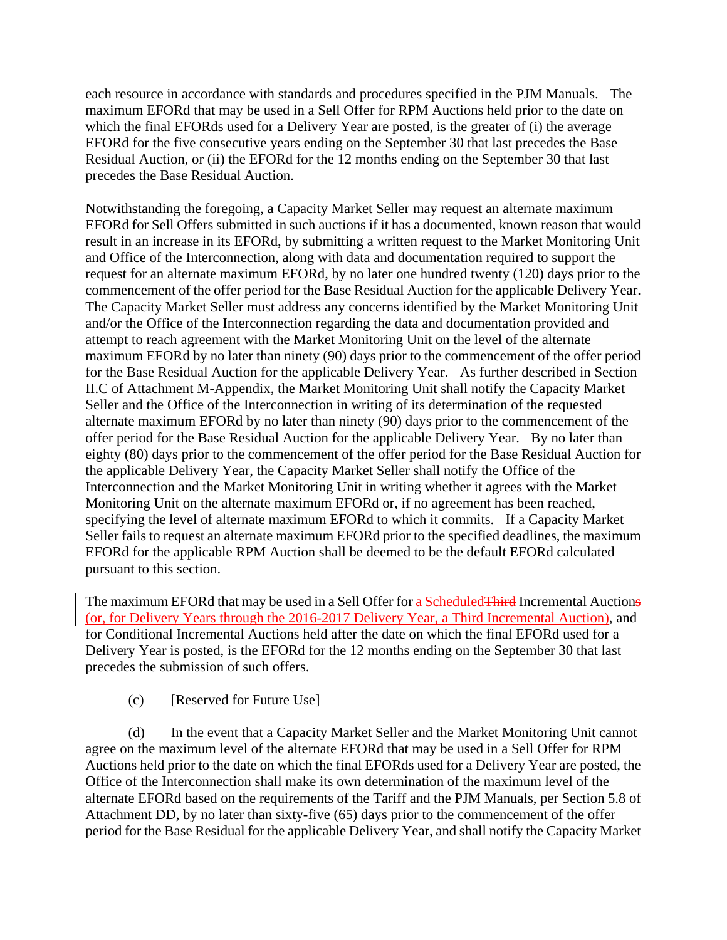each resource in accordance with standards and procedures specified in the PJM Manuals. The maximum EFORd that may be used in a Sell Offer for RPM Auctions held prior to the date on which the final EFORds used for a Delivery Year are posted, is the greater of (i) the average EFORd for the five consecutive years ending on the September 30 that last precedes the Base Residual Auction, or (ii) the EFORd for the 12 months ending on the September 30 that last precedes the Base Residual Auction.

Notwithstanding the foregoing, a Capacity Market Seller may request an alternate maximum EFORd for Sell Offers submitted in such auctions if it has a documented, known reason that would result in an increase in its EFORd, by submitting a written request to the Market Monitoring Unit and Office of the Interconnection, along with data and documentation required to support the request for an alternate maximum EFORd, by no later one hundred twenty (120) days prior to the commencement of the offer period for the Base Residual Auction for the applicable Delivery Year. The Capacity Market Seller must address any concerns identified by the Market Monitoring Unit and/or the Office of the Interconnection regarding the data and documentation provided and attempt to reach agreement with the Market Monitoring Unit on the level of the alternate maximum EFORd by no later than ninety (90) days prior to the commencement of the offer period for the Base Residual Auction for the applicable Delivery Year. As further described in Section II.C of Attachment M-Appendix, the Market Monitoring Unit shall notify the Capacity Market Seller and the Office of the Interconnection in writing of its determination of the requested alternate maximum EFORd by no later than ninety (90) days prior to the commencement of the offer period for the Base Residual Auction for the applicable Delivery Year. By no later than eighty (80) days prior to the commencement of the offer period for the Base Residual Auction for the applicable Delivery Year, the Capacity Market Seller shall notify the Office of the Interconnection and the Market Monitoring Unit in writing whether it agrees with the Market Monitoring Unit on the alternate maximum EFORd or, if no agreement has been reached, specifying the level of alternate maximum EFORd to which it commits. If a Capacity Market Seller fails to request an alternate maximum EFORd prior to the specified deadlines, the maximum EFORd for the applicable RPM Auction shall be deemed to be the default EFORd calculated pursuant to this section.

The maximum EFORd that may be used in a Sell Offer for a Scheduled Third Incremental Auctions (or, for Delivery Years through the 2016-2017 Delivery Year, a Third Incremental Auction), and for Conditional Incremental Auctions held after the date on which the final EFORd used for a Delivery Year is posted, is the EFORd for the 12 months ending on the September 30 that last precedes the submission of such offers.

(c) [Reserved for Future Use]

 (d) In the event that a Capacity Market Seller and the Market Monitoring Unit cannot agree on the maximum level of the alternate EFORd that may be used in a Sell Offer for RPM Auctions held prior to the date on which the final EFORds used for a Delivery Year are posted, the Office of the Interconnection shall make its own determination of the maximum level of the alternate EFORd based on the requirements of the Tariff and the PJM Manuals, per Section 5.8 of Attachment DD, by no later than sixty-five (65) days prior to the commencement of the offer period for the Base Residual for the applicable Delivery Year, and shall notify the Capacity Market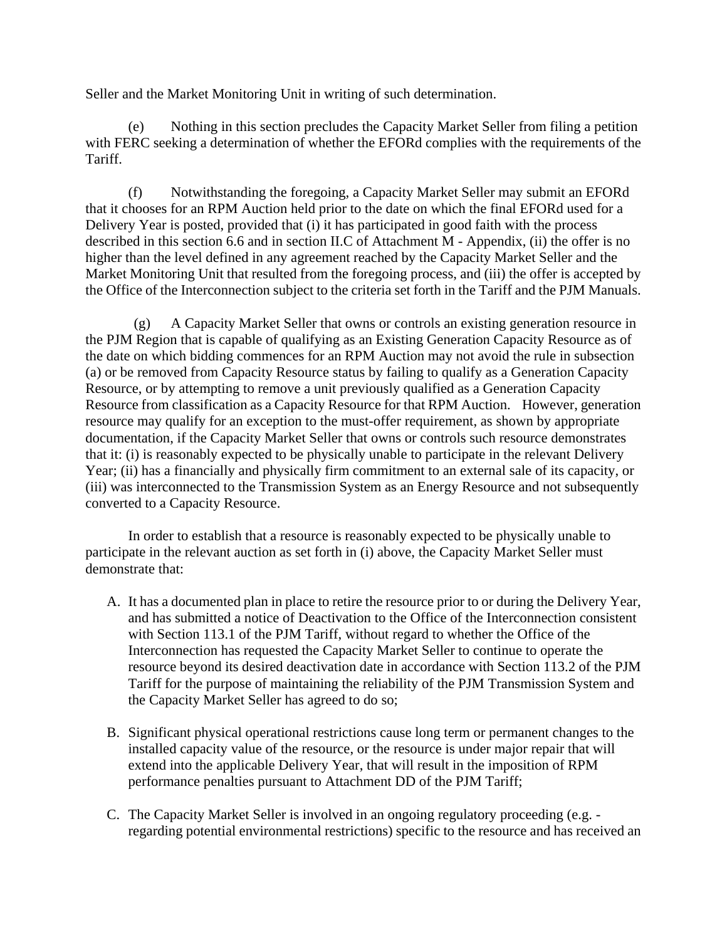Seller and the Market Monitoring Unit in writing of such determination.

 (e) Nothing in this section precludes the Capacity Market Seller from filing a petition with FERC seeking a determination of whether the EFORd complies with the requirements of the Tariff.

 (f) Notwithstanding the foregoing, a Capacity Market Seller may submit an EFORd that it chooses for an RPM Auction held prior to the date on which the final EFORd used for a Delivery Year is posted, provided that (i) it has participated in good faith with the process described in this section 6.6 and in section II.C of Attachment M - Appendix, (ii) the offer is no higher than the level defined in any agreement reached by the Capacity Market Seller and the Market Monitoring Unit that resulted from the foregoing process, and (iii) the offer is accepted by the Office of the Interconnection subject to the criteria set forth in the Tariff and the PJM Manuals.

 (g) A Capacity Market Seller that owns or controls an existing generation resource in the PJM Region that is capable of qualifying as an Existing Generation Capacity Resource as of the date on which bidding commences for an RPM Auction may not avoid the rule in subsection (a) or be removed from Capacity Resource status by failing to qualify as a Generation Capacity Resource, or by attempting to remove a unit previously qualified as a Generation Capacity Resource from classification as a Capacity Resource for that RPM Auction. However, generation resource may qualify for an exception to the must-offer requirement, as shown by appropriate documentation, if the Capacity Market Seller that owns or controls such resource demonstrates that it: (i) is reasonably expected to be physically unable to participate in the relevant Delivery Year; (ii) has a financially and physically firm commitment to an external sale of its capacity, or (iii) was interconnected to the Transmission System as an Energy Resource and not subsequently converted to a Capacity Resource.

 In order to establish that a resource is reasonably expected to be physically unable to participate in the relevant auction as set forth in (i) above, the Capacity Market Seller must demonstrate that:

- A. It has a documented plan in place to retire the resource prior to or during the Delivery Year, and has submitted a notice of Deactivation to the Office of the Interconnection consistent with Section 113.1 of the PJM Tariff, without regard to whether the Office of the Interconnection has requested the Capacity Market Seller to continue to operate the resource beyond its desired deactivation date in accordance with Section 113.2 of the PJM Tariff for the purpose of maintaining the reliability of the PJM Transmission System and the Capacity Market Seller has agreed to do so;
- B. Significant physical operational restrictions cause long term or permanent changes to the installed capacity value of the resource, or the resource is under major repair that will extend into the applicable Delivery Year, that will result in the imposition of RPM performance penalties pursuant to Attachment DD of the PJM Tariff;
- C. The Capacity Market Seller is involved in an ongoing regulatory proceeding (e.g. regarding potential environmental restrictions) specific to the resource and has received an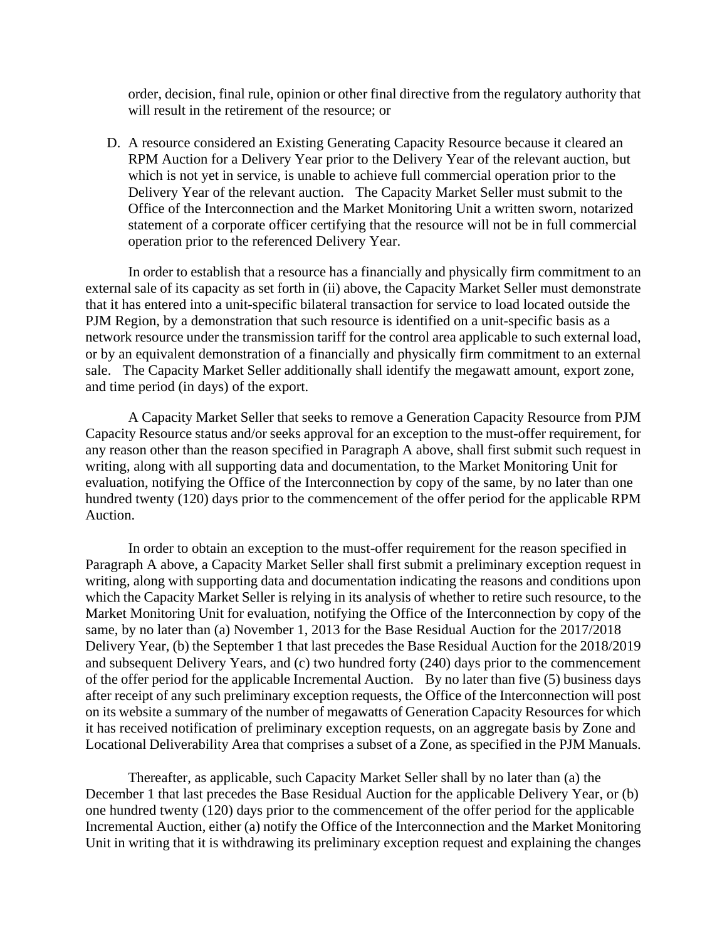order, decision, final rule, opinion or other final directive from the regulatory authority that will result in the retirement of the resource; or

D. A resource considered an Existing Generating Capacity Resource because it cleared an RPM Auction for a Delivery Year prior to the Delivery Year of the relevant auction, but which is not yet in service, is unable to achieve full commercial operation prior to the Delivery Year of the relevant auction. The Capacity Market Seller must submit to the Office of the Interconnection and the Market Monitoring Unit a written sworn, notarized statement of a corporate officer certifying that the resource will not be in full commercial operation prior to the referenced Delivery Year.

In order to establish that a resource has a financially and physically firm commitment to an external sale of its capacity as set forth in (ii) above, the Capacity Market Seller must demonstrate that it has entered into a unit-specific bilateral transaction for service to load located outside the PJM Region, by a demonstration that such resource is identified on a unit-specific basis as a network resource under the transmission tariff for the control area applicable to such external load, or by an equivalent demonstration of a financially and physically firm commitment to an external sale. The Capacity Market Seller additionally shall identify the megawatt amount, export zone, and time period (in days) of the export.

A Capacity Market Seller that seeks to remove a Generation Capacity Resource from PJM Capacity Resource status and/or seeks approval for an exception to the must-offer requirement, for any reason other than the reason specified in Paragraph A above, shall first submit such request in writing, along with all supporting data and documentation, to the Market Monitoring Unit for evaluation, notifying the Office of the Interconnection by copy of the same, by no later than one hundred twenty (120) days prior to the commencement of the offer period for the applicable RPM Auction.

In order to obtain an exception to the must-offer requirement for the reason specified in Paragraph A above, a Capacity Market Seller shall first submit a preliminary exception request in writing, along with supporting data and documentation indicating the reasons and conditions upon which the Capacity Market Seller is relying in its analysis of whether to retire such resource, to the Market Monitoring Unit for evaluation, notifying the Office of the Interconnection by copy of the same, by no later than (a) November 1, 2013 for the Base Residual Auction for the 2017/2018 Delivery Year, (b) the September 1 that last precedes the Base Residual Auction for the 2018/2019 and subsequent Delivery Years, and (c) two hundred forty (240) days prior to the commencement of the offer period for the applicable Incremental Auction. By no later than five (5) business days after receipt of any such preliminary exception requests, the Office of the Interconnection will post on its website a summary of the number of megawatts of Generation Capacity Resources for which it has received notification of preliminary exception requests, on an aggregate basis by Zone and Locational Deliverability Area that comprises a subset of a Zone, as specified in the PJM Manuals.

Thereafter, as applicable, such Capacity Market Seller shall by no later than (a) the December 1 that last precedes the Base Residual Auction for the applicable Delivery Year, or (b) one hundred twenty (120) days prior to the commencement of the offer period for the applicable Incremental Auction, either (a) notify the Office of the Interconnection and the Market Monitoring Unit in writing that it is withdrawing its preliminary exception request and explaining the changes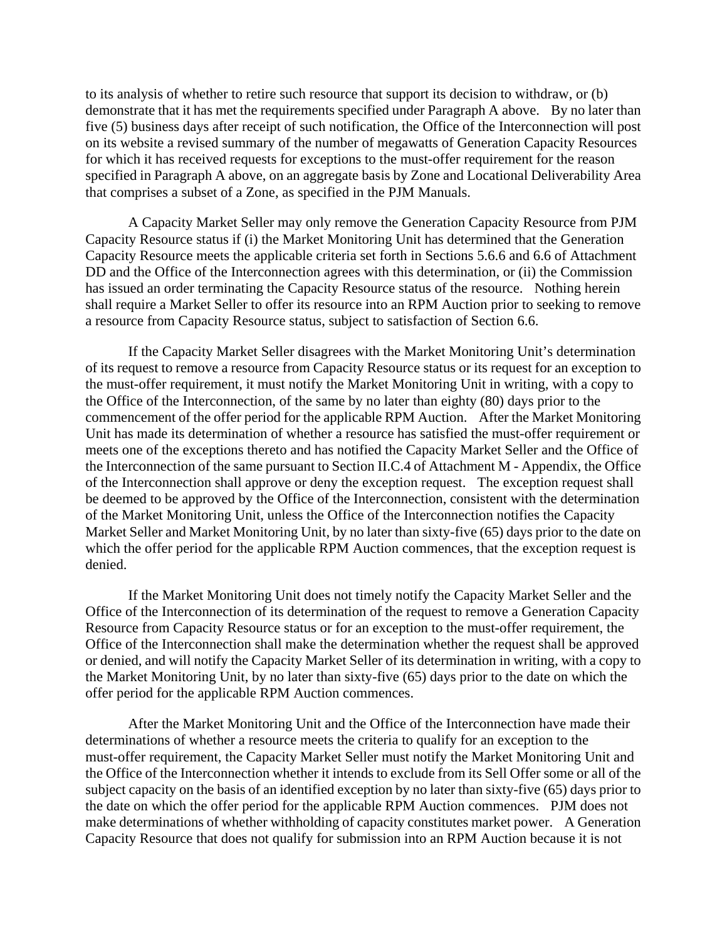to its analysis of whether to retire such resource that support its decision to withdraw, or (b) demonstrate that it has met the requirements specified under Paragraph A above. By no later than five (5) business days after receipt of such notification, the Office of the Interconnection will post on its website a revised summary of the number of megawatts of Generation Capacity Resources for which it has received requests for exceptions to the must-offer requirement for the reason specified in Paragraph A above, on an aggregate basis by Zone and Locational Deliverability Area that comprises a subset of a Zone, as specified in the PJM Manuals.

A Capacity Market Seller may only remove the Generation Capacity Resource from PJM Capacity Resource status if (i) the Market Monitoring Unit has determined that the Generation Capacity Resource meets the applicable criteria set forth in Sections 5.6.6 and 6.6 of Attachment DD and the Office of the Interconnection agrees with this determination, or (ii) the Commission has issued an order terminating the Capacity Resource status of the resource. Nothing herein shall require a Market Seller to offer its resource into an RPM Auction prior to seeking to remove a resource from Capacity Resource status, subject to satisfaction of Section 6.6.

If the Capacity Market Seller disagrees with the Market Monitoring Unit's determination of its request to remove a resource from Capacity Resource status or its request for an exception to the must-offer requirement, it must notify the Market Monitoring Unit in writing, with a copy to the Office of the Interconnection, of the same by no later than eighty (80) days prior to the commencement of the offer period for the applicable RPM Auction. After the Market Monitoring Unit has made its determination of whether a resource has satisfied the must-offer requirement or meets one of the exceptions thereto and has notified the Capacity Market Seller and the Office of the Interconnection of the same pursuant to Section II.C.4 of Attachment M - Appendix, the Office of the Interconnection shall approve or deny the exception request. The exception request shall be deemed to be approved by the Office of the Interconnection, consistent with the determination of the Market Monitoring Unit, unless the Office of the Interconnection notifies the Capacity Market Seller and Market Monitoring Unit, by no later than sixty-five (65) days prior to the date on which the offer period for the applicable RPM Auction commences, that the exception request is denied.

If the Market Monitoring Unit does not timely notify the Capacity Market Seller and the Office of the Interconnection of its determination of the request to remove a Generation Capacity Resource from Capacity Resource status or for an exception to the must-offer requirement, the Office of the Interconnection shall make the determination whether the request shall be approved or denied, and will notify the Capacity Market Seller of its determination in writing, with a copy to the Market Monitoring Unit, by no later than sixty-five (65) days prior to the date on which the offer period for the applicable RPM Auction commences.

After the Market Monitoring Unit and the Office of the Interconnection have made their determinations of whether a resource meets the criteria to qualify for an exception to the must-offer requirement, the Capacity Market Seller must notify the Market Monitoring Unit and the Office of the Interconnection whether it intends to exclude from its Sell Offer some or all of the subject capacity on the basis of an identified exception by no later than sixty-five (65) days prior to the date on which the offer period for the applicable RPM Auction commences. PJM does not make determinations of whether withholding of capacity constitutes market power. A Generation Capacity Resource that does not qualify for submission into an RPM Auction because it is not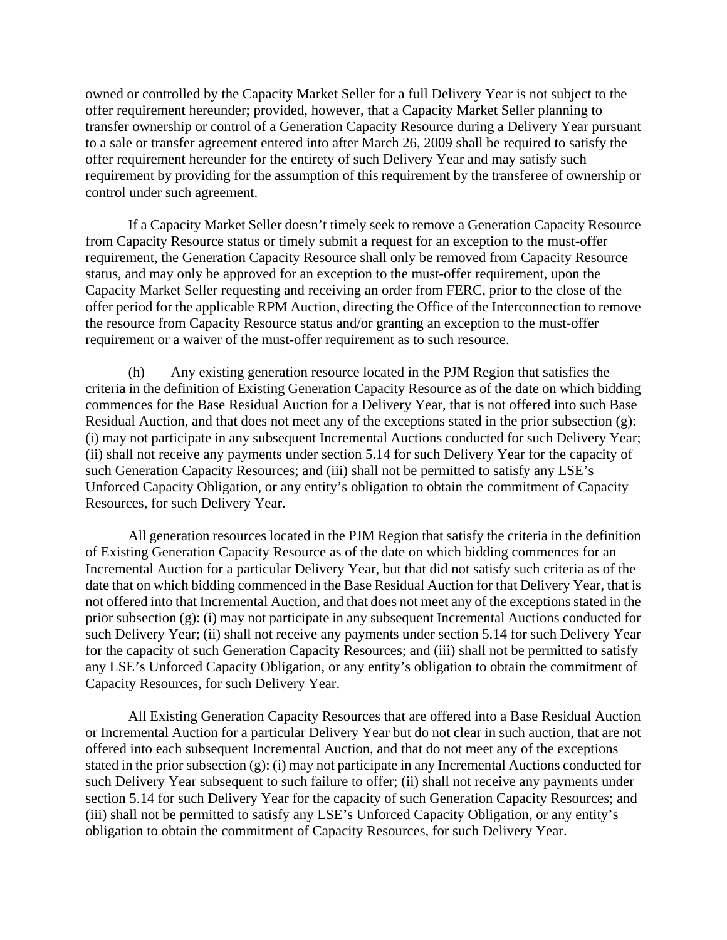owned or controlled by the Capacity Market Seller for a full Delivery Year is not subject to the offer requirement hereunder; provided, however, that a Capacity Market Seller planning to transfer ownership or control of a Generation Capacity Resource during a Delivery Year pursuant to a sale or transfer agreement entered into after March 26, 2009 shall be required to satisfy the offer requirement hereunder for the entirety of such Delivery Year and may satisfy such requirement by providing for the assumption of this requirement by the transferee of ownership or control under such agreement.

If a Capacity Market Seller doesn't timely seek to remove a Generation Capacity Resource from Capacity Resource status or timely submit a request for an exception to the must-offer requirement, the Generation Capacity Resource shall only be removed from Capacity Resource status, and may only be approved for an exception to the must-offer requirement, upon the Capacity Market Seller requesting and receiving an order from FERC, prior to the close of the offer period for the applicable RPM Auction, directing the Office of the Interconnection to remove the resource from Capacity Resource status and/or granting an exception to the must-offer requirement or a waiver of the must-offer requirement as to such resource.

 (h) Any existing generation resource located in the PJM Region that satisfies the criteria in the definition of Existing Generation Capacity Resource as of the date on which bidding commences for the Base Residual Auction for a Delivery Year, that is not offered into such Base Residual Auction, and that does not meet any of the exceptions stated in the prior subsection (g): (i) may not participate in any subsequent Incremental Auctions conducted for such Delivery Year; (ii) shall not receive any payments under section 5.14 for such Delivery Year for the capacity of such Generation Capacity Resources; and (iii) shall not be permitted to satisfy any LSE's Unforced Capacity Obligation, or any entity's obligation to obtain the commitment of Capacity Resources, for such Delivery Year.

 All generation resources located in the PJM Region that satisfy the criteria in the definition of Existing Generation Capacity Resource as of the date on which bidding commences for an Incremental Auction for a particular Delivery Year, but that did not satisfy such criteria as of the date that on which bidding commenced in the Base Residual Auction for that Delivery Year, that is not offered into that Incremental Auction, and that does not meet any of the exceptions stated in the prior subsection (g): (i) may not participate in any subsequent Incremental Auctions conducted for such Delivery Year; (ii) shall not receive any payments under section 5.14 for such Delivery Year for the capacity of such Generation Capacity Resources; and (iii) shall not be permitted to satisfy any LSE's Unforced Capacity Obligation, or any entity's obligation to obtain the commitment of Capacity Resources, for such Delivery Year.

 All Existing Generation Capacity Resources that are offered into a Base Residual Auction or Incremental Auction for a particular Delivery Year but do not clear in such auction, that are not offered into each subsequent Incremental Auction, and that do not meet any of the exceptions stated in the prior subsection (g): (i) may not participate in any Incremental Auctions conducted for such Delivery Year subsequent to such failure to offer; (ii) shall not receive any payments under section 5.14 for such Delivery Year for the capacity of such Generation Capacity Resources; and (iii) shall not be permitted to satisfy any LSE's Unforced Capacity Obligation, or any entity's obligation to obtain the commitment of Capacity Resources, for such Delivery Year.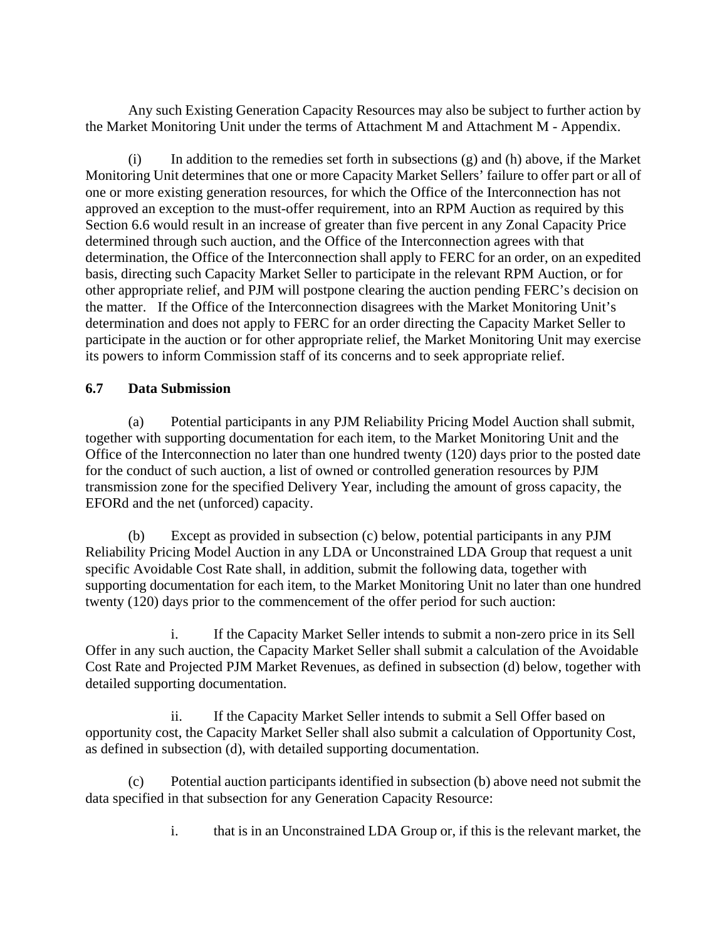Any such Existing Generation Capacity Resources may also be subject to further action by the Market Monitoring Unit under the terms of Attachment M and Attachment M - Appendix.

 $(i)$  In addition to the remedies set forth in subsections  $(g)$  and  $(h)$  above, if the Market Monitoring Unit determines that one or more Capacity Market Sellers' failure to offer part or all of one or more existing generation resources, for which the Office of the Interconnection has not approved an exception to the must-offer requirement, into an RPM Auction as required by this Section 6.6 would result in an increase of greater than five percent in any Zonal Capacity Price determined through such auction, and the Office of the Interconnection agrees with that determination, the Office of the Interconnection shall apply to FERC for an order, on an expedited basis, directing such Capacity Market Seller to participate in the relevant RPM Auction, or for other appropriate relief, and PJM will postpone clearing the auction pending FERC's decision on the matter. If the Office of the Interconnection disagrees with the Market Monitoring Unit's determination and does not apply to FERC for an order directing the Capacity Market Seller to participate in the auction or for other appropriate relief, the Market Monitoring Unit may exercise its powers to inform Commission staff of its concerns and to seek appropriate relief.

# **6.7 Data Submission**

 (a) Potential participants in any PJM Reliability Pricing Model Auction shall submit, together with supporting documentation for each item, to the Market Monitoring Unit and the Office of the Interconnection no later than one hundred twenty (120) days prior to the posted date for the conduct of such auction, a list of owned or controlled generation resources by PJM transmission zone for the specified Delivery Year, including the amount of gross capacity, the EFORd and the net (unforced) capacity.

 (b) Except as provided in subsection (c) below, potential participants in any PJM Reliability Pricing Model Auction in any LDA or Unconstrained LDA Group that request a unit specific Avoidable Cost Rate shall, in addition, submit the following data, together with supporting documentation for each item, to the Market Monitoring Unit no later than one hundred twenty (120) days prior to the commencement of the offer period for such auction:

 i. If the Capacity Market Seller intends to submit a non-zero price in its Sell Offer in any such auction, the Capacity Market Seller shall submit a calculation of the Avoidable Cost Rate and Projected PJM Market Revenues, as defined in subsection (d) below, together with detailed supporting documentation.

 ii. If the Capacity Market Seller intends to submit a Sell Offer based on opportunity cost, the Capacity Market Seller shall also submit a calculation of Opportunity Cost, as defined in subsection (d), with detailed supporting documentation.

 (c) Potential auction participants identified in subsection (b) above need not submit the data specified in that subsection for any Generation Capacity Resource:

i. that is in an Unconstrained LDA Group or, if this is the relevant market, the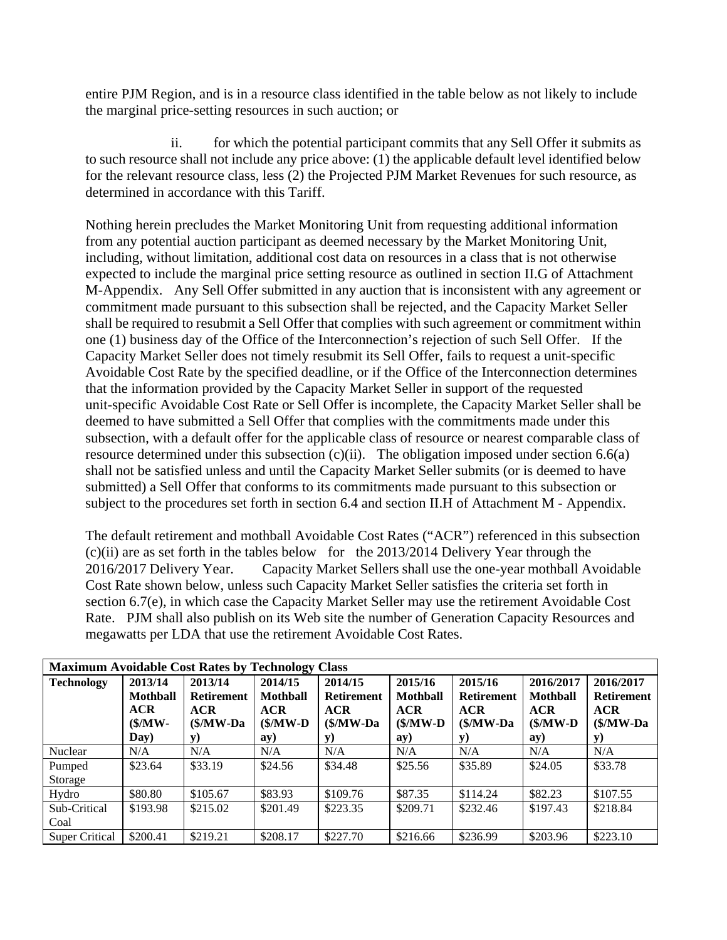entire PJM Region, and is in a resource class identified in the table below as not likely to include the marginal price-setting resources in such auction; or

ii. for which the potential participant commits that any Sell Offer it submits as to such resource shall not include any price above: (1) the applicable default level identified below for the relevant resource class, less (2) the Projected PJM Market Revenues for such resource, as determined in accordance with this Tariff.

Nothing herein precludes the Market Monitoring Unit from requesting additional information from any potential auction participant as deemed necessary by the Market Monitoring Unit, including, without limitation, additional cost data on resources in a class that is not otherwise expected to include the marginal price setting resource as outlined in section II.G of Attachment M-Appendix. Any Sell Offer submitted in any auction that is inconsistent with any agreement or commitment made pursuant to this subsection shall be rejected, and the Capacity Market Seller shall be required to resubmit a Sell Offer that complies with such agreement or commitment within one (1) business day of the Office of the Interconnection's rejection of such Sell Offer. If the Capacity Market Seller does not timely resubmit its Sell Offer, fails to request a unit-specific Avoidable Cost Rate by the specified deadline, or if the Office of the Interconnection determines that the information provided by the Capacity Market Seller in support of the requested unit-specific Avoidable Cost Rate or Sell Offer is incomplete, the Capacity Market Seller shall be deemed to have submitted a Sell Offer that complies with the commitments made under this subsection, with a default offer for the applicable class of resource or nearest comparable class of resource determined under this subsection (c)(ii). The obligation imposed under section 6.6(a) shall not be satisfied unless and until the Capacity Market Seller submits (or is deemed to have submitted) a Sell Offer that conforms to its commitments made pursuant to this subsection or subject to the procedures set forth in section 6.4 and section II.H of Attachment M - Appendix.

The default retirement and mothball Avoidable Cost Rates ("ACR") referenced in this subsection (c)(ii) are as set forth in the tables below for the 2013/2014 Delivery Year through the 2016/2017 Delivery Year. Capacity Market Sellers shall use the one-year mothball Avoidable Cost Rate shown below, unless such Capacity Market Seller satisfies the criteria set forth in section 6.7(e), in which case the Capacity Market Seller may use the retirement Avoidable Cost Rate. PJM shall also publish on its Web site the number of Generation Capacity Resources and megawatts per LDA that use the retirement Avoidable Cost Rates.

| <b>Maximum Avoidable Cost Rates by Technology Class</b> |                                                                |                                                                         |                                                             |                                                                   |                                                                    |                                                                          |                                                                          |                                                                            |
|---------------------------------------------------------|----------------------------------------------------------------|-------------------------------------------------------------------------|-------------------------------------------------------------|-------------------------------------------------------------------|--------------------------------------------------------------------|--------------------------------------------------------------------------|--------------------------------------------------------------------------|----------------------------------------------------------------------------|
| <b>Technology</b>                                       | 2013/14<br><b>Mothball</b><br>ACR<br>$(\frac{S}{M}$ W-<br>Day) | 2013/14<br><b>Retirement</b><br><b>ACR</b><br>$(\frac{S}{M}$ W-Da<br>y) | 2014/15<br>Mothball<br><b>ACR</b><br>$(\frac{M}{N})$<br>ay) | 2014/15<br><b>Retirement</b><br>ACR<br>$(\frac{M}{W} - Da)$<br>V) | 2015/16<br><b>Mothball</b><br><b>ACR</b><br>$(\frac{M}{V})$<br>ay) | 2015/16<br><b>Retirement</b><br><b>ACR</b><br>$(\frac{M}{W} - Da)$<br>y) | 2016/2017<br><b>Mothball</b><br><b>ACR</b><br>$(\frac{M}{V} - D)$<br>ay) | 2016/2017<br><b>Retirement</b><br><b>ACR</b><br>$(\frac{M}{W} - Da)$<br>y) |
| Nuclear                                                 | N/A                                                            | N/A                                                                     | N/A                                                         | N/A                                                               | N/A                                                                | N/A                                                                      | N/A                                                                      | N/A                                                                        |
| Pumped<br>Storage                                       | \$23.64                                                        | \$33.19                                                                 | \$24.56                                                     | \$34.48                                                           | \$25.56                                                            | \$35.89                                                                  | \$24.05                                                                  | \$33.78                                                                    |
| Hydro                                                   | \$80.80                                                        | \$105.67                                                                | \$83.93                                                     | \$109.76                                                          | \$87.35                                                            | \$114.24                                                                 | \$82.23                                                                  | \$107.55                                                                   |
| Sub-Critical<br>Coal                                    | \$193.98                                                       | \$215.02                                                                | \$201.49                                                    | \$223.35                                                          | \$209.71                                                           | \$232.46                                                                 | \$197.43                                                                 | \$218.84                                                                   |
| <b>Super Critical</b>                                   | \$200.41                                                       | \$219.21                                                                | \$208.17                                                    | \$227.70                                                          | \$216.66                                                           | \$236.99                                                                 | \$203.96                                                                 | \$223.10                                                                   |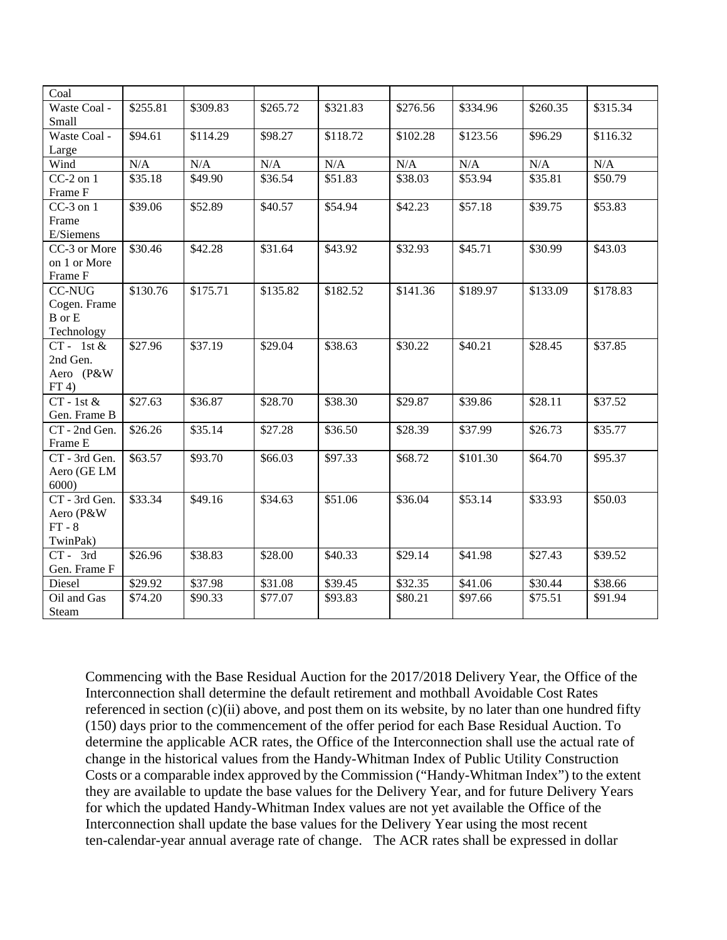| Coal                  |          |          |          |          |          |          |          |          |
|-----------------------|----------|----------|----------|----------|----------|----------|----------|----------|
| Waste Coal -          | \$255.81 | \$309.83 | \$265.72 | \$321.83 | \$276.56 | \$334.96 | \$260.35 | \$315.34 |
| Small                 |          |          |          |          |          |          |          |          |
| Waste Coal -          | \$94.61  | \$114.29 | \$98.27  | \$118.72 | \$102.28 | \$123.56 | \$96.29  | \$116.32 |
| Large                 |          |          |          |          |          |          |          |          |
| Wind                  | N/A      | N/A      | N/A      | N/A      | N/A      | N/A      | N/A      | N/A      |
| $CC-2$ on $1$         | \$35.18  | \$49.90  | \$36.54  | \$51.83  | \$38.03  | \$53.94  | \$35.81  | \$50.79  |
| Frame F               |          |          |          |          |          |          |          |          |
| $CC-3$ on $1$         | \$39.06  | \$52.89  | \$40.57  | \$54.94  | \$42.23  | \$57.18  | \$39.75  | \$53.83  |
| Frame                 |          |          |          |          |          |          |          |          |
| E/Siemens             |          |          |          |          |          |          |          |          |
| CC-3 or More          | \$30.46  | \$42.28  | \$31.64  | \$43.92  | \$32.93  | \$45.71  | \$30.99  | \$43.03  |
| on 1 or More          |          |          |          |          |          |          |          |          |
| Frame F               |          |          |          |          |          |          |          |          |
| <b>CC-NUG</b>         | \$130.76 | \$175.71 | \$135.82 | \$182.52 | \$141.36 | \$189.97 | \$133.09 | \$178.83 |
| Cogen. Frame          |          |          |          |          |          |          |          |          |
| <b>B</b> or E         |          |          |          |          |          |          |          |          |
| Technology            |          |          |          |          |          |          |          |          |
| $CT - 1st \&$         | \$27.96  | \$37.19  | \$29.04  | \$38.63  | \$30.22  | \$40.21  | \$28.45  | \$37.85  |
| 2nd Gen.<br>Aero (P&W |          |          |          |          |          |          |          |          |
| FT(4)                 |          |          |          |          |          |          |          |          |
| $CT - 1st \&$         | \$27.63  | \$36.87  | \$28.70  | \$38.30  | \$29.87  | \$39.86  | \$28.11  | \$37.52  |
| Gen. Frame B          |          |          |          |          |          |          |          |          |
| CT - 2nd Gen.         | \$26.26  | \$35.14  | \$27.28  | \$36.50  | \$28.39  | \$37.99  | \$26.73  | \$35.77  |
| Frame E               |          |          |          |          |          |          |          |          |
| CT - 3rd Gen.         | \$63.57  | \$93.70  | \$66.03  | \$97.33  | \$68.72  | \$101.30 | \$64.70  | \$95.37  |
| Aero (GE LM           |          |          |          |          |          |          |          |          |
| 6000                  |          |          |          |          |          |          |          |          |
| CT - 3rd Gen.         | \$33.34  | \$49.16  | \$34.63  | \$51.06  | \$36.04  | \$53.14  | \$33.93  | \$50.03  |
| Aero (P&W             |          |          |          |          |          |          |          |          |
| $FT - 8$              |          |          |          |          |          |          |          |          |
| TwinPak)              |          |          |          |          |          |          |          |          |
| $CT - 3rd$            | \$26.96  | \$38.83  | \$28.00  | \$40.33  | \$29.14  | \$41.98  | \$27.43  | \$39.52  |
| Gen. Frame F          |          |          |          |          |          |          |          |          |
| Diesel                | \$29.92  | \$37.98  | \$31.08  | \$39.45  | \$32.35  | \$41.06  | \$30.44  | \$38.66  |
| Oil and Gas           | \$74.20  | \$90.33  | \$77.07  | \$93.83  | \$80.21  | \$97.66  | \$75.51  | \$91.94  |
| Steam                 |          |          |          |          |          |          |          |          |

Commencing with the Base Residual Auction for the 2017/2018 Delivery Year, the Office of the Interconnection shall determine the default retirement and mothball Avoidable Cost Rates referenced in section (c)(ii) above, and post them on its website, by no later than one hundred fifty (150) days prior to the commencement of the offer period for each Base Residual Auction. To determine the applicable ACR rates, the Office of the Interconnection shall use the actual rate of change in the historical values from the Handy-Whitman Index of Public Utility Construction Costs or a comparable index approved by the Commission ("Handy-Whitman Index") to the extent they are available to update the base values for the Delivery Year, and for future Delivery Years for which the updated Handy-Whitman Index values are not yet available the Office of the Interconnection shall update the base values for the Delivery Year using the most recent ten-calendar-year annual average rate of change. The ACR rates shall be expressed in dollar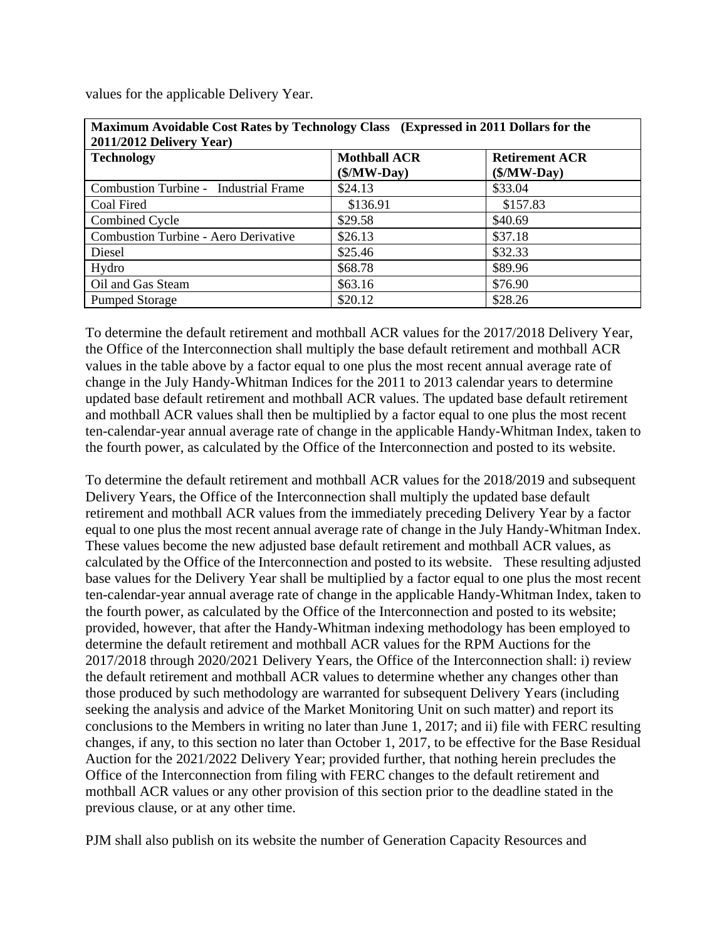| Maximum Avoidable Cost Rates by Technology Class (Expressed in 2011 Dollars for the<br>2011/2012 Delivery Year) |                                      |                                        |  |  |  |  |
|-----------------------------------------------------------------------------------------------------------------|--------------------------------------|----------------------------------------|--|--|--|--|
| <b>Technology</b>                                                                                               | <b>Mothball ACR</b><br>$($/MW$ -Day) | <b>Retirement ACR</b><br>$($/MW$ -Day) |  |  |  |  |
| Combustion Turbine - Industrial Frame                                                                           | \$24.13                              | \$33.04                                |  |  |  |  |
| Coal Fired                                                                                                      | \$136.91                             | \$157.83                               |  |  |  |  |
| Combined Cycle                                                                                                  | \$29.58                              | \$40.69                                |  |  |  |  |
| Combustion Turbine - Aero Derivative                                                                            | \$26.13                              | \$37.18                                |  |  |  |  |
| Diesel                                                                                                          | \$25.46                              | \$32.33                                |  |  |  |  |
| Hydro                                                                                                           | \$68.78                              | \$89.96                                |  |  |  |  |
| Oil and Gas Steam                                                                                               | \$63.16                              | \$76.90                                |  |  |  |  |
| <b>Pumped Storage</b>                                                                                           | \$20.12                              | \$28.26                                |  |  |  |  |

values for the applicable Delivery Year.

To determine the default retirement and mothball ACR values for the 2017/2018 Delivery Year, the Office of the Interconnection shall multiply the base default retirement and mothball ACR values in the table above by a factor equal to one plus the most recent annual average rate of change in the July Handy-Whitman Indices for the 2011 to 2013 calendar years to determine updated base default retirement and mothball ACR values. The updated base default retirement and mothball ACR values shall then be multiplied by a factor equal to one plus the most recent ten-calendar-year annual average rate of change in the applicable Handy-Whitman Index, taken to the fourth power, as calculated by the Office of the Interconnection and posted to its website.

To determine the default retirement and mothball ACR values for the 2018/2019 and subsequent Delivery Years, the Office of the Interconnection shall multiply the updated base default retirement and mothball ACR values from the immediately preceding Delivery Year by a factor equal to one plus the most recent annual average rate of change in the July Handy-Whitman Index. These values become the new adjusted base default retirement and mothball ACR values, as calculated by the Office of the Interconnection and posted to its website. These resulting adjusted base values for the Delivery Year shall be multiplied by a factor equal to one plus the most recent ten-calendar-year annual average rate of change in the applicable Handy-Whitman Index, taken to the fourth power, as calculated by the Office of the Interconnection and posted to its website; provided, however, that after the Handy-Whitman indexing methodology has been employed to determine the default retirement and mothball ACR values for the RPM Auctions for the 2017/2018 through 2020/2021 Delivery Years, the Office of the Interconnection shall: i) review the default retirement and mothball ACR values to determine whether any changes other than those produced by such methodology are warranted for subsequent Delivery Years (including seeking the analysis and advice of the Market Monitoring Unit on such matter) and report its conclusions to the Members in writing no later than June 1, 2017; and ii) file with FERC resulting changes, if any, to this section no later than October 1, 2017, to be effective for the Base Residual Auction for the 2021/2022 Delivery Year; provided further, that nothing herein precludes the Office of the Interconnection from filing with FERC changes to the default retirement and mothball ACR values or any other provision of this section prior to the deadline stated in the previous clause, or at any other time.

PJM shall also publish on its website the number of Generation Capacity Resources and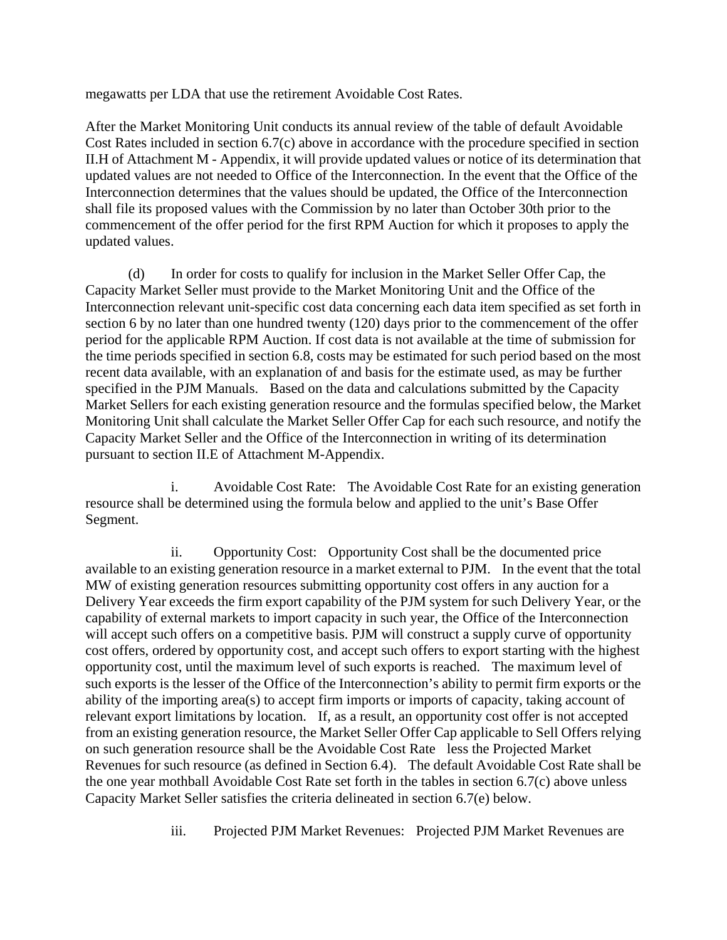megawatts per LDA that use the retirement Avoidable Cost Rates.

After the Market Monitoring Unit conducts its annual review of the table of default Avoidable Cost Rates included in section 6.7(c) above in accordance with the procedure specified in section II.H of Attachment M - Appendix, it will provide updated values or notice of its determination that updated values are not needed to Office of the Interconnection. In the event that the Office of the Interconnection determines that the values should be updated, the Office of the Interconnection shall file its proposed values with the Commission by no later than October 30th prior to the commencement of the offer period for the first RPM Auction for which it proposes to apply the updated values.

 (d) In order for costs to qualify for inclusion in the Market Seller Offer Cap, the Capacity Market Seller must provide to the Market Monitoring Unit and the Office of the Interconnection relevant unit-specific cost data concerning each data item specified as set forth in section 6 by no later than one hundred twenty (120) days prior to the commencement of the offer period for the applicable RPM Auction. If cost data is not available at the time of submission for the time periods specified in section 6.8, costs may be estimated for such period based on the most recent data available, with an explanation of and basis for the estimate used, as may be further specified in the PJM Manuals. Based on the data and calculations submitted by the Capacity Market Sellers for each existing generation resource and the formulas specified below, the Market Monitoring Unit shall calculate the Market Seller Offer Cap for each such resource, and notify the Capacity Market Seller and the Office of the Interconnection in writing of its determination pursuant to section II.E of Attachment M-Appendix.

i. Avoidable Cost Rate: The Avoidable Cost Rate for an existing generation resource shall be determined using the formula below and applied to the unit's Base Offer Segment.

ii. Opportunity Cost: Opportunity Cost shall be the documented price available to an existing generation resource in a market external to PJM. In the event that the total MW of existing generation resources submitting opportunity cost offers in any auction for a Delivery Year exceeds the firm export capability of the PJM system for such Delivery Year, or the capability of external markets to import capacity in such year, the Office of the Interconnection will accept such offers on a competitive basis. PJM will construct a supply curve of opportunity cost offers, ordered by opportunity cost, and accept such offers to export starting with the highest opportunity cost, until the maximum level of such exports is reached. The maximum level of such exports is the lesser of the Office of the Interconnection's ability to permit firm exports or the ability of the importing area(s) to accept firm imports or imports of capacity, taking account of relevant export limitations by location. If, as a result, an opportunity cost offer is not accepted from an existing generation resource, the Market Seller Offer Cap applicable to Sell Offers relying on such generation resource shall be the Avoidable Cost Rate less the Projected Market Revenues for such resource (as defined in Section 6.4). The default Avoidable Cost Rate shall be the one year mothball Avoidable Cost Rate set forth in the tables in section 6.7(c) above unless Capacity Market Seller satisfies the criteria delineated in section 6.7(e) below.

iii. Projected PJM Market Revenues: Projected PJM Market Revenues are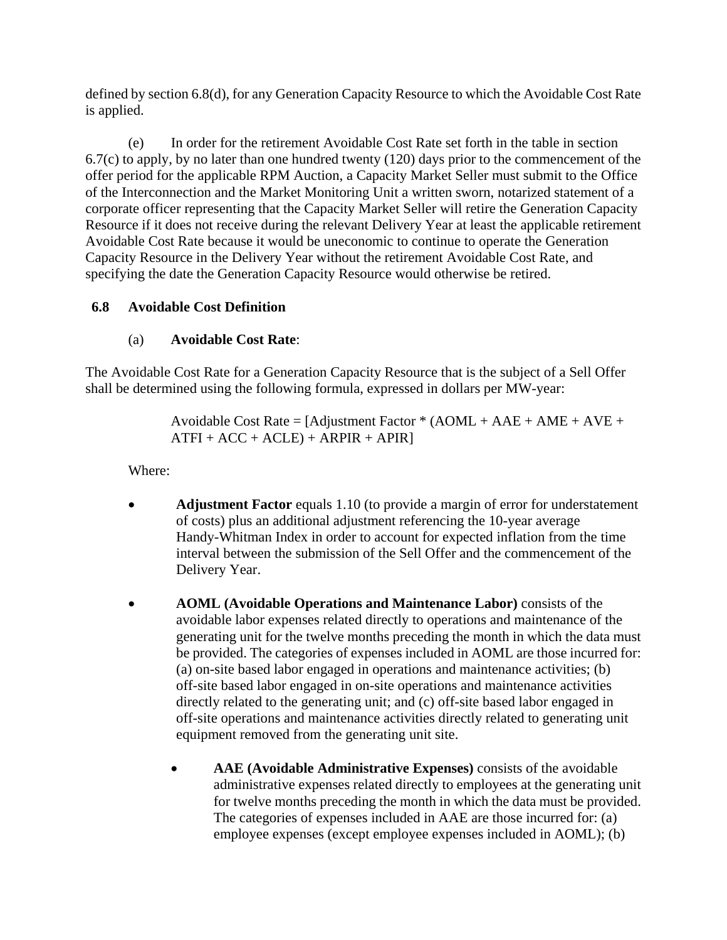defined by section 6.8(d), for any Generation Capacity Resource to which the Avoidable Cost Rate is applied.

 (e) In order for the retirement Avoidable Cost Rate set forth in the table in section 6.7(c) to apply, by no later than one hundred twenty (120) days prior to the commencement of the offer period for the applicable RPM Auction, a Capacity Market Seller must submit to the Office of the Interconnection and the Market Monitoring Unit a written sworn, notarized statement of a corporate officer representing that the Capacity Market Seller will retire the Generation Capacity Resource if it does not receive during the relevant Delivery Year at least the applicable retirement Avoidable Cost Rate because it would be uneconomic to continue to operate the Generation Capacity Resource in the Delivery Year without the retirement Avoidable Cost Rate, and specifying the date the Generation Capacity Resource would otherwise be retired.

# **6.8 Avoidable Cost Definition**

# (a) **Avoidable Cost Rate**:

The Avoidable Cost Rate for a Generation Capacity Resource that is the subject of a Sell Offer shall be determined using the following formula, expressed in dollars per MW-year:

> Avoidable Cost Rate = [Adjustment Factor \* (AOML + AAE + AME + AVE +  $ATFI + ACC + ACLE) + ARPIR + APIR$

Where:

- **Adjustment Factor** equals 1.10 (to provide a margin of error for understatement of costs) plus an additional adjustment referencing the 10-year average Handy-Whitman Index in order to account for expected inflation from the time interval between the submission of the Sell Offer and the commencement of the Delivery Year.
- **AOML (Avoidable Operations and Maintenance Labor)** consists of the avoidable labor expenses related directly to operations and maintenance of the generating unit for the twelve months preceding the month in which the data must be provided. The categories of expenses included in AOML are those incurred for: (a) on-site based labor engaged in operations and maintenance activities; (b) off-site based labor engaged in on-site operations and maintenance activities directly related to the generating unit; and (c) off-site based labor engaged in off-site operations and maintenance activities directly related to generating unit equipment removed from the generating unit site.
	- **AAE (Avoidable Administrative Expenses)** consists of the avoidable administrative expenses related directly to employees at the generating unit for twelve months preceding the month in which the data must be provided. The categories of expenses included in AAE are those incurred for: (a) employee expenses (except employee expenses included in AOML); (b)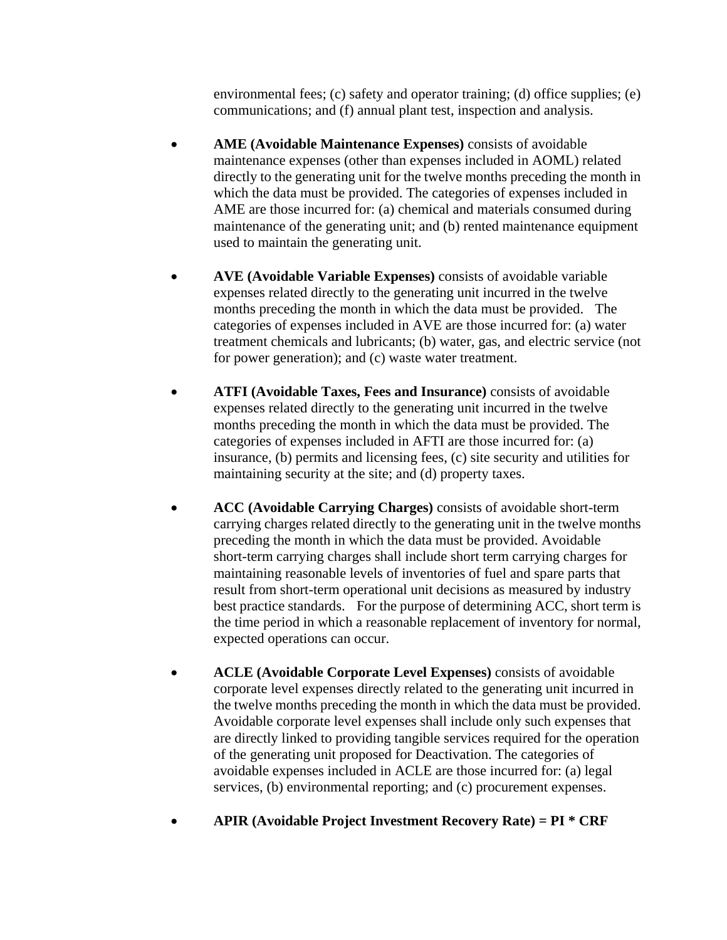environmental fees; (c) safety and operator training; (d) office supplies; (e) communications; and (f) annual plant test, inspection and analysis.

- **AME (Avoidable Maintenance Expenses)** consists of avoidable maintenance expenses (other than expenses included in AOML) related directly to the generating unit for the twelve months preceding the month in which the data must be provided. The categories of expenses included in AME are those incurred for: (a) chemical and materials consumed during maintenance of the generating unit; and (b) rented maintenance equipment used to maintain the generating unit.
- **AVE (Avoidable Variable Expenses)** consists of avoidable variable expenses related directly to the generating unit incurred in the twelve months preceding the month in which the data must be provided. The categories of expenses included in AVE are those incurred for: (a) water treatment chemicals and lubricants; (b) water, gas, and electric service (not for power generation); and (c) waste water treatment.
- **ATFI (Avoidable Taxes, Fees and Insurance)** consists of avoidable expenses related directly to the generating unit incurred in the twelve months preceding the month in which the data must be provided. The categories of expenses included in AFTI are those incurred for: (a) insurance, (b) permits and licensing fees, (c) site security and utilities for maintaining security at the site; and (d) property taxes.
- **ACC (Avoidable Carrying Charges)** consists of avoidable short-term carrying charges related directly to the generating unit in the twelve months preceding the month in which the data must be provided. Avoidable short-term carrying charges shall include short term carrying charges for maintaining reasonable levels of inventories of fuel and spare parts that result from short-term operational unit decisions as measured by industry best practice standards. For the purpose of determining ACC, short term is the time period in which a reasonable replacement of inventory for normal, expected operations can occur.
- **ACLE (Avoidable Corporate Level Expenses)** consists of avoidable corporate level expenses directly related to the generating unit incurred in the twelve months preceding the month in which the data must be provided. Avoidable corporate level expenses shall include only such expenses that are directly linked to providing tangible services required for the operation of the generating unit proposed for Deactivation. The categories of avoidable expenses included in ACLE are those incurred for: (a) legal services, (b) environmental reporting; and (c) procurement expenses.
- **APIR (Avoidable Project Investment Recovery Rate) = PI \* CRF**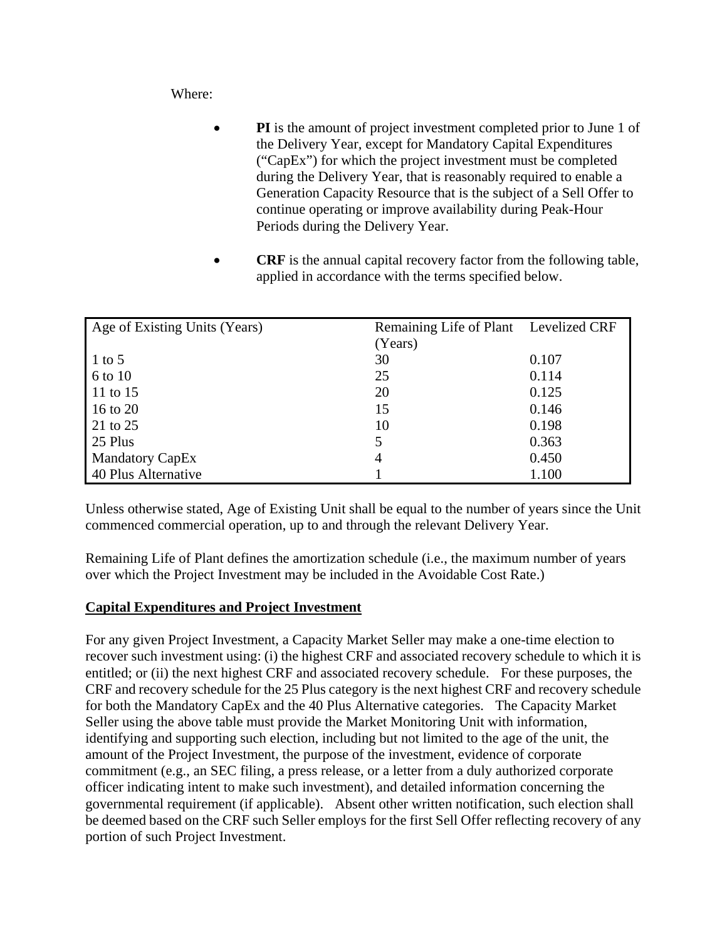Where:

- **PI** is the amount of project investment completed prior to June 1 of the Delivery Year, except for Mandatory Capital Expenditures ("CapEx") for which the project investment must be completed during the Delivery Year, that is reasonably required to enable a Generation Capacity Resource that is the subject of a Sell Offer to continue operating or improve availability during Peak-Hour Periods during the Delivery Year.
- **CRF** is the annual capital recovery factor from the following table, applied in accordance with the terms specified below.

| Age of Existing Units (Years) | Remaining Life of Plant Levelized CRF |       |
|-------------------------------|---------------------------------------|-------|
|                               | (Years)                               |       |
| $1$ to 5                      | 30                                    | 0.107 |
| 6 to 10                       | 25                                    | 0.114 |
| 11 to 15                      | 20                                    | 0.125 |
| 16 to 20                      | 15                                    | 0.146 |
| 21 to 25                      | 10                                    | 0.198 |
| 25 Plus                       | 5                                     | 0.363 |
| <b>Mandatory CapEx</b>        | 4                                     | 0.450 |
| 40 Plus Alternative           |                                       | 1.100 |

Unless otherwise stated, Age of Existing Unit shall be equal to the number of years since the Unit commenced commercial operation, up to and through the relevant Delivery Year.

Remaining Life of Plant defines the amortization schedule (i.e., the maximum number of years over which the Project Investment may be included in the Avoidable Cost Rate.)

# **Capital Expenditures and Project Investment**

For any given Project Investment, a Capacity Market Seller may make a one-time election to recover such investment using: (i) the highest CRF and associated recovery schedule to which it is entitled; or (ii) the next highest CRF and associated recovery schedule. For these purposes, the CRF and recovery schedule for the 25 Plus category is the next highest CRF and recovery schedule for both the Mandatory CapEx and the 40 Plus Alternative categories. The Capacity Market Seller using the above table must provide the Market Monitoring Unit with information, identifying and supporting such election, including but not limited to the age of the unit, the amount of the Project Investment, the purpose of the investment, evidence of corporate commitment (e.g., an SEC filing, a press release, or a letter from a duly authorized corporate officer indicating intent to make such investment), and detailed information concerning the governmental requirement (if applicable). Absent other written notification, such election shall be deemed based on the CRF such Seller employs for the first Sell Offer reflecting recovery of any portion of such Project Investment.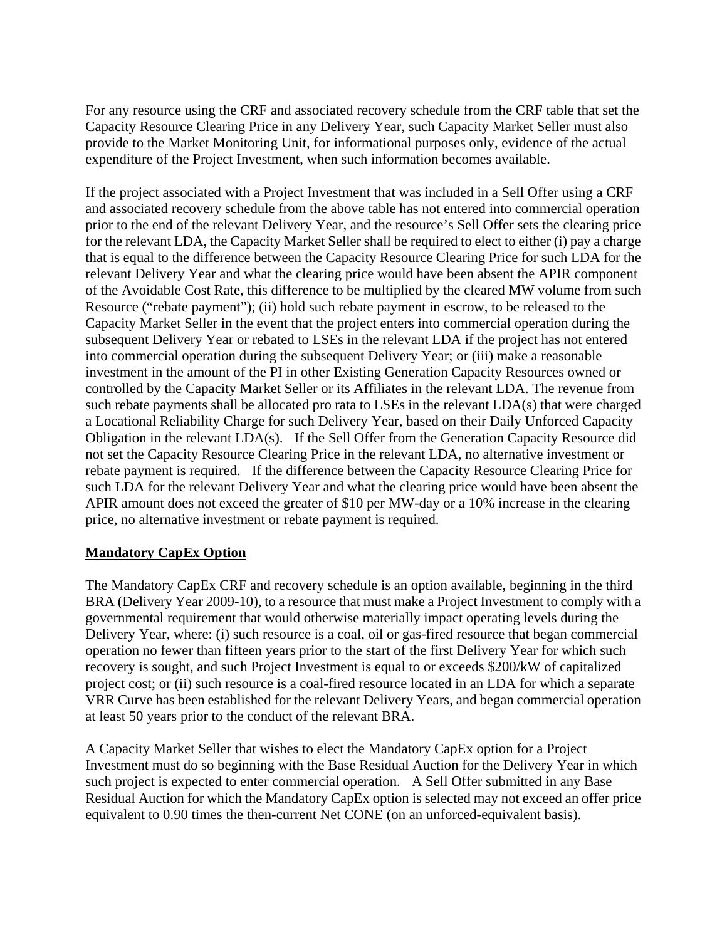For any resource using the CRF and associated recovery schedule from the CRF table that set the Capacity Resource Clearing Price in any Delivery Year, such Capacity Market Seller must also provide to the Market Monitoring Unit, for informational purposes only, evidence of the actual expenditure of the Project Investment, when such information becomes available.

If the project associated with a Project Investment that was included in a Sell Offer using a CRF and associated recovery schedule from the above table has not entered into commercial operation prior to the end of the relevant Delivery Year, and the resource's Sell Offer sets the clearing price for the relevant LDA, the Capacity Market Seller shall be required to elect to either (i) pay a charge that is equal to the difference between the Capacity Resource Clearing Price for such LDA for the relevant Delivery Year and what the clearing price would have been absent the APIR component of the Avoidable Cost Rate, this difference to be multiplied by the cleared MW volume from such Resource ("rebate payment"); (ii) hold such rebate payment in escrow, to be released to the Capacity Market Seller in the event that the project enters into commercial operation during the subsequent Delivery Year or rebated to LSEs in the relevant LDA if the project has not entered into commercial operation during the subsequent Delivery Year; or (iii) make a reasonable investment in the amount of the PI in other Existing Generation Capacity Resources owned or controlled by the Capacity Market Seller or its Affiliates in the relevant LDA. The revenue from such rebate payments shall be allocated pro rata to LSEs in the relevant LDA(s) that were charged a Locational Reliability Charge for such Delivery Year, based on their Daily Unforced Capacity Obligation in the relevant LDA(s). If the Sell Offer from the Generation Capacity Resource did not set the Capacity Resource Clearing Price in the relevant LDA, no alternative investment or rebate payment is required. If the difference between the Capacity Resource Clearing Price for such LDA for the relevant Delivery Year and what the clearing price would have been absent the APIR amount does not exceed the greater of \$10 per MW-day or a 10% increase in the clearing price, no alternative investment or rebate payment is required.

# **Mandatory CapEx Option**

The Mandatory CapEx CRF and recovery schedule is an option available, beginning in the third BRA (Delivery Year 2009-10), to a resource that must make a Project Investment to comply with a governmental requirement that would otherwise materially impact operating levels during the Delivery Year, where: (i) such resource is a coal, oil or gas-fired resource that began commercial operation no fewer than fifteen years prior to the start of the first Delivery Year for which such recovery is sought, and such Project Investment is equal to or exceeds \$200/kW of capitalized project cost; or (ii) such resource is a coal-fired resource located in an LDA for which a separate VRR Curve has been established for the relevant Delivery Years, and began commercial operation at least 50 years prior to the conduct of the relevant BRA.

A Capacity Market Seller that wishes to elect the Mandatory CapEx option for a Project Investment must do so beginning with the Base Residual Auction for the Delivery Year in which such project is expected to enter commercial operation. A Sell Offer submitted in any Base Residual Auction for which the Mandatory CapEx option is selected may not exceed an offer price equivalent to 0.90 times the then-current Net CONE (on an unforced-equivalent basis).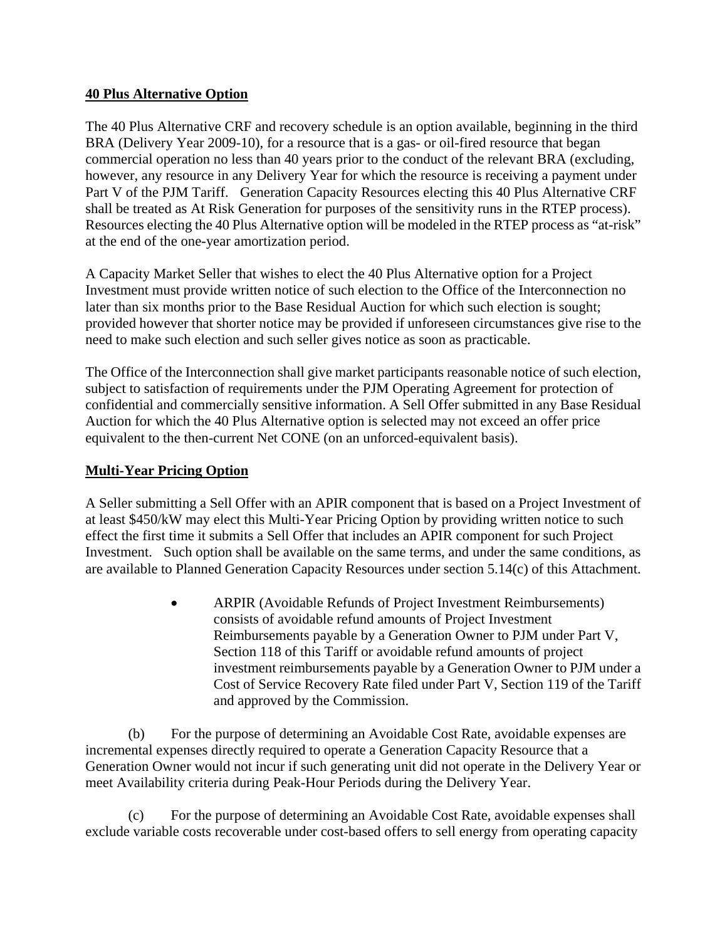## **40 Plus Alternative Option**

The 40 Plus Alternative CRF and recovery schedule is an option available, beginning in the third BRA (Delivery Year 2009-10), for a resource that is a gas- or oil-fired resource that began commercial operation no less than 40 years prior to the conduct of the relevant BRA (excluding, however, any resource in any Delivery Year for which the resource is receiving a payment under Part V of the PJM Tariff. Generation Capacity Resources electing this 40 Plus Alternative CRF shall be treated as At Risk Generation for purposes of the sensitivity runs in the RTEP process). Resources electing the 40 Plus Alternative option will be modeled in the RTEP process as "at-risk" at the end of the one-year amortization period.

A Capacity Market Seller that wishes to elect the 40 Plus Alternative option for a Project Investment must provide written notice of such election to the Office of the Interconnection no later than six months prior to the Base Residual Auction for which such election is sought; provided however that shorter notice may be provided if unforeseen circumstances give rise to the need to make such election and such seller gives notice as soon as practicable.

The Office of the Interconnection shall give market participants reasonable notice of such election, subject to satisfaction of requirements under the PJM Operating Agreement for protection of confidential and commercially sensitive information. A Sell Offer submitted in any Base Residual Auction for which the 40 Plus Alternative option is selected may not exceed an offer price equivalent to the then-current Net CONE (on an unforced-equivalent basis).

# **Multi-Year Pricing Option**

A Seller submitting a Sell Offer with an APIR component that is based on a Project Investment of at least \$450/kW may elect this Multi-Year Pricing Option by providing written notice to such effect the first time it submits a Sell Offer that includes an APIR component for such Project Investment. Such option shall be available on the same terms, and under the same conditions, as are available to Planned Generation Capacity Resources under section 5.14(c) of this Attachment.

> ARPIR (Avoidable Refunds of Project Investment Reimbursements) consists of avoidable refund amounts of Project Investment Reimbursements payable by a Generation Owner to PJM under Part V, Section 118 of this Tariff or avoidable refund amounts of project investment reimbursements payable by a Generation Owner to PJM under a Cost of Service Recovery Rate filed under Part V, Section 119 of the Tariff and approved by the Commission.

 (b) For the purpose of determining an Avoidable Cost Rate, avoidable expenses are incremental expenses directly required to operate a Generation Capacity Resource that a Generation Owner would not incur if such generating unit did not operate in the Delivery Year or meet Availability criteria during Peak-Hour Periods during the Delivery Year.

 (c) For the purpose of determining an Avoidable Cost Rate, avoidable expenses shall exclude variable costs recoverable under cost-based offers to sell energy from operating capacity